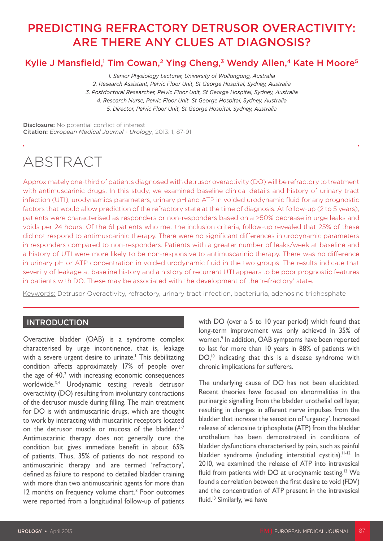# PREDICTING REFRACTORY DETRUSOR OVERACTIVITY: ARE THERE ANY CLUES AT DIAGNOSIS?

# Kylie J Mansfield,<sup>1</sup> Tim Cowan,<sup>2</sup> Ying Cheng,<sup>3</sup> Wendy Allen,<sup>4</sup> Kate H Moore<sup>5</sup>

*1. Senior Physiology Lecturer, University of Wollongong, Australia 2. Research Assistant, Pelvic Floor Unit, St George Hospital, Sydney, Australia 3. Postdoctoral Researcher, Pelvic Floor Unit, St George Hospital, Sydney, Australia 4. Research Nurse, Pelvic Floor Unit, St George Hospital, Sydney, Australia 5. Director, Pelvic Floor Unit, St George Hospital, Sydney, Australia*

Disclosure: No potential conflict of interest Citation: *European Medical Journal - Urology*, 2013: 1, 87-91

# ABSTRACT

Approximately one-third of patients diagnosed with detrusor overactivity (DO) will be refractory to treatment with antimuscarinic drugs. In this study, we examined baseline clinical details and history of urinary tract infection (UTI), urodynamics parameters, urinary pH and ATP in voided urodynamic fluid for any prognostic factors that would allow prediction of the refractory state at the time of diagnosis. At follow-up (2 to 5 years), patients were characterised as responders or non-responders based on a >50% decrease in urge leaks and voids per 24 hours. Of the 61 patients who met the inclusion criteria, follow-up revealed that 25% of these did not respond to antimuscarinic therapy. There were no significant differences in urodynamic parameters in responders compared to non-responders. Patients with a greater number of leaks/week at baseline and a history of UTI were more likely to be non-responsive to antimuscarinic therapy. There was no difference in urinary pH or ATP concentration in voided urodynamic fluid in the two groups. The results indicate that severity of leakage at baseline history and a history of recurrent UTI appears to be poor prognostic features in patients with DO. These may be associated with the development of the 'refractory' state.

Keywords: Detrusor Overactivity, refractory, urinary tract infection, bacteriuria, adenosine triphosphate

## **INTRODUCTION**

Overactive bladder (OAB) is a syndrome complex characterised by urge incontinence, that is, leakage with a severe urgent desire to urinate.<sup>1</sup> This debilitating condition affects approximately 17% of people over the age of  $40<sup>2</sup>$  with increasing economic consequences worldwide.3,4 Urodynamic testing reveals detrusor overactivity (DO) resulting from involuntary contractions of the detrusor muscle during filling. The main treatment for DO is with antimuscarinic drugs, which are thought to work by interacting with muscarinic receptors located on the detrusor muscle or mucosa of the bladder.<sup>5-7</sup> Antimuscarinic therapy does not generally cure the condition but gives immediate benefit in about 65% of patients. Thus, 35% of patients do not respond to antimuscarinic therapy and are termed 'refractory', defined as failure to respond to detailed bladder training with more than two antimuscarinic agents for more than 12 months on frequency volume chart.<sup>8</sup> Poor outcomes were reported from a longitudinal follow-up of patients

with DO (over a 5 to 10 year period) which found that long-term improvement was only achieved in 35% of women.9 In addition, OAB symptoms have been reported to last for more than 10 years in 88% of patients with DO,<sup>10</sup> indicating that this is a disease syndrome with chronic implications for sufferers.

The underlying cause of DO has not been elucidated. Recent theories have focused on abnormalities in the purinergic signalling from the bladder urothelial cell layer, resulting in changes in afferent nerve impulses from the bladder that increase the sensation of 'urgency'. Increased release of adenosine triphosphate (ATP) from the bladder urothelium has been demonstrated in conditions of bladder dysfunctions characterised by pain, such as painful bladder syndrome (including interstitial cystitis).<sup>11-12</sup> In 2010, we examined the release of ATP into intravesical fluid from patients with DO at urodynamic testing.<sup>13</sup> We found a correlation between the first desire to void (FDV) and the concentration of ATP present in the intravesical fluid.13 Similarly, we have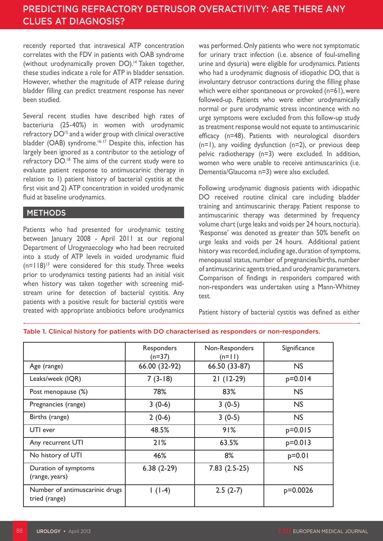recently reported that intravesical ATP concentration correlates with the FDV in patients with OAB syndrome (without urodynamically proven DO).<sup>14</sup> Taken together, these studies indicate a role for ATP in bladder sensation. However, whether the magnitude of ATP release during bladder filling can predict treatment response has never been studied.

Several recent studies have described high rates of bacteriuria (25-40%) in women with urodynamic refractory DO<sup>15</sup> and a wider group with clinical overactive bladder (OAB) syndrome.<sup>16-17</sup> Despite this, infection has largely been ignored as a contributor to the aetiology of refractory DO.18 The aims of the current study were to evaluate patient response to antimuscarinic therapy in relation to 1) patient history of bacterial cystitis at the first visit and 2) ATP concentration in voided urodynamic fluid at baseline urodynamics.

## METHODS

Patients who had presented for urodynamic testing between January 2008 - April 2011 at our regional Department of Urogynaecology who had been recruited into a study of ATP levels in voided urodynamic fluid  $(n=118)^{13}$  were considered for this study. Three weeks prior to urodynamics testing patients had an initial visit when history was taken together with screening midstream urine for detection of bacterial cystitis. Any patients with a positive result for bacterial cystitis were treated with appropriate antibiotics before urodynamics

was performed. Only patients who were not symptomatic for urinary tract infection (i.e. absence of foul-smelling urine and dysuria) were eligible for urodynamics. Patients who had a urodynamic diagnosis of idiopathic DO, that is involuntary detrusor contractions during the filling phase which were either spontaneous or provoked (n=61), were followed-up. Patients who were either urodynamically normal or pure urodynamic stress incontinence with no urge symptoms were excluded from this follow-up study as treatment response would not equate to antimuscarinic efficacy (n=48). Patients with neurological disorders  $(n=1)$ , any voiding dysfunction  $(n=2)$ , or previous deep pelvic radiotherapy (n=3) were excluded. In addition, women who were unable to receive antimuscarinics (i.e. Dementia/Glaucoma n=3) were also excluded.

Following urodynamic diagnosis patients with idiopathic DO received routine clinical care including bladder training and antimuscarinic therapy. Patient response to antimuscarinic therapy was determined by frequency volume chart (urge leaks and voids per 24 hours, nocturia). 'Response' was denoted as greater than 50% benefit on urge leaks and voids per 24 hours. Additional patient history was recorded, including age, duration of symptoms, menopausal status, number of pregnancies/births, number of antimuscarinic agents tried, and urodynamic parameters. Comparison of findings in responders compared with non-responders was undertaken using a Mann-Whitney test.

Patient history of bacterial cystitis was defined as either

|                                                 | Responders<br>$(n=37)$ | Non-Responders<br>$(n=1)$ | Significance |
|-------------------------------------------------|------------------------|---------------------------|--------------|
| Age (range)                                     | 66.00 (32-92)          | 66.50 (33-87)             | <b>NS</b>    |
| Leaks/week (IQR)                                | $7(3-18)$              | $21(12-29)$               | $p=0.014$    |
| Post menopause (%)                              | 78%                    | 83%                       | <b>NS</b>    |
| Pregnancies (range)                             | $3(0-6)$               | $3(0-5)$                  | <b>NS</b>    |
| Births (range)                                  | $2(0-6)$               | $3(0-5)$                  | <b>NS</b>    |
| UTI ever                                        | 48.5%                  | 91%                       | $p=0.015$    |
| Any recurrent UTI                               | 21%                    | 63.5%                     | $p=0.013$    |
| No history of UTI                               | 46%                    | 8%                        | $p=0.01$     |
| Duration of symptoms<br>(range, years)          | $6.38(2-29)$           | $7.83(2.5-25)$            | <b>NS</b>    |
| Number of antimuscarinic drugs<br>tried (range) | $1(1-4)$               | $2.5(2-7)$                | $p=0.0026$   |

#### Table 1. Clinical history for patients with DO characterised as responders or non-responders.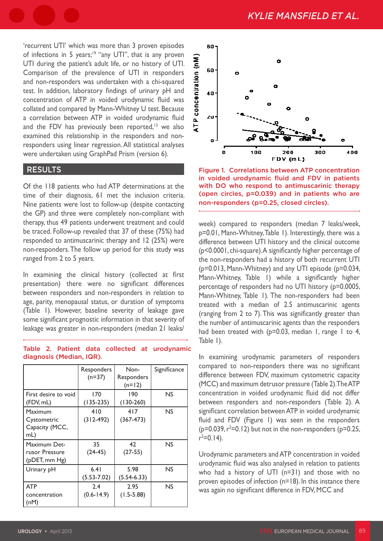'recurrent UTI' which was more than 3 proven episodes of infections in 5 years;<sup>19</sup> "any UTI", that is any proven UTI during the patient's adult life, or no history of UTI. Comparison of the prevalence of UTI in responders and non-responders was undertaken with a chi-squared test. In addition, laboratory findings of urinary pH and concentration of ATP in voided urodynamic fluid was collated and compared by Mann-Whitney U test. Because a correlation between ATP in voided urodynamic fluid and the FDV has previously been reported, $13$  we also examined this relationship in the responders and nonresponders using linear regression. All statistical analyses were undertaken using GraphPad Prism (version 6).

#### RESULTS

Of the 118 patients who had ATP determinations at the time of their diagnosis, 61 met the inclusion criteria. Nine patients were lost to follow-up (despite contacting the GP) and three were completely non-compliant with therapy, thus 49 patients underwent treatment and could be traced. Follow-up revealed that 37 of these (75%) had responded to antimuscarinic therapy and 12 (25%) were non-responders. The follow up period for this study was ranged from 2 to 5 years.

In examining the clinical history (collected at first presentation) there were no significant differences between responders and non-responders in relation to age, parity, menopausal status, or duration of symptoms (Table 1). However, baseline severity of leakage gave some significant prognostic information in that severity of leakage was greater in non-responders (median 21 leaks/

|  |                          |  | Table 2. Patient data collected at urodynamic |
|--|--------------------------|--|-----------------------------------------------|
|  | diagnosis (Median, IQR). |  |                                               |

|                                                       | Responders<br>$(n=37)$  | Non-<br>Responders<br>$(n=12)$ | Significance |
|-------------------------------------------------------|-------------------------|--------------------------------|--------------|
| First desire to void<br>(FDV, mL)                     | 170<br>$(135-235)$      | 190<br>$(130-260)$             | NS           |
| Maximum<br>Cystometric<br>Capacity (MCC,<br>mL)       | 410<br>$(312-492)$      | 417<br>$(367 - 473)$           | <b>NS</b>    |
| Maximum Det-<br>rusor Pressure<br>$(p$ DET, mm $Hg$ ) | 35<br>$(24-45)$         | 42<br>$(27-55)$                | NS           |
| Urinary pH                                            | 6.41<br>$(5.53 - 7.02)$ | 5.98<br>$(5.54-6.33)$          | NS           |
| <b>ATP</b><br>concentration<br>(nM)                   | 2.4<br>$(0.6 - 14.9)$   | 2.95<br>$(1.5 - 5.88)$         | <b>NS</b>    |



Figure 1. Correlations between ATP concentration in voided urodynamic fluid and FDV in patients with DO who respond to antimuscarinic therapy (open circles, p=0.039) and in patients who are non-responders (p=0.25, closed circles).

week) compared to responders (median 7 leaks/week, p=0.01, Mann-Whitney, Table 1). Interestingly, there was a difference between UTI history and the clinical outcome (p<0.0001, chi-square). A significantly higher percentage of the non-responders had a history of both recurrent UTI (p=0.013, Mann-Whitney) and any UTI episode (p=0.034, Mann-Whitney, Table 1) while a significantly higher percentage of responders had no UTI history (p=0.0005, Mann-Whitney, Table 1). The non-responders had been treated with a median of 2.5 antimuscarinic agents (ranging from 2 to 7). This was significantly greater than the number of antimuscarinic agents than the responders had been treated with ( $p=0.03$ , median 1, range 1 to 4, Table 1).

In examining urodynamic parameters of responders compared to non-responders there was no significant difference between FDV, maximum cystometric capacity (MCC) and maximum detrusor pressure (Table 2). The ATP concentration in voided urodynamic fluid did not differ between responders and non-responders (Table 2). A significant correlation between ATP in voided urodynamic fluid and FDV (Figure 1) was seen in the responders  $(p=0.039, r^2=0.12)$  but not in the non-responders (p=0.25,  $r^2 = 0.14$ ).

Urodynamic parameters and ATP concentration in voided urodynamic fluid was also analysed in relation to patients who had a history of UTI (n=31) and those with no proven episodes of infection (n=18). In this instance there was again no significant difference in FDV, MCC and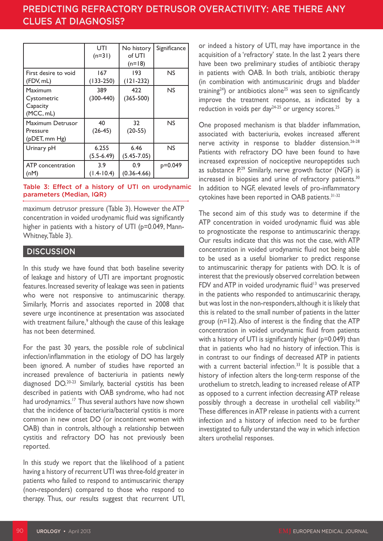# PREDICTING REFRACTORY DETRUSOR OVERACTIVITY: ARE THERE ANY CLUES AT DIAGNOSIS?

|                                                 | UTI<br>$(n=31)$         | No history<br>of UTI<br>$(n=18)$ | Significance |
|-------------------------------------------------|-------------------------|----------------------------------|--------------|
| First desire to void<br>(FDV, mL)               | 167<br>$(133 - 250)$    | 193<br>$(121 - 232)$             | NS           |
| Maximum<br>Cystometric<br>Capacity<br>(MCC, mL) | 389<br>$(300-440)$      | 422<br>$(365 - 500)$             | NS           |
| Maximum Detrusor<br>Pressure<br>(pDET, mm Hg)   | 40<br>$(26-45)$         | 32<br>$(20-55)$                  | NS           |
| Urinary pH                                      | 6.255<br>$(5.5 - 6.49)$ | 6.46<br>$(5.45 - 7.05)$          | NS           |
| ATP concentration<br>(nM)                       | 3.9<br>$(1.4 - 10.4)$   | 0.9<br>$(0.36 - 4.66)$           | p=0.049      |

#### Table 3: Effect of a history of UTI on urodynamic parameters (Median, IQR)

maximum detrusor pressure (Table 3). However the ATP concentration in voided urodynamic fluid was significantly higher in patients with a history of UTI (p=0.049, Mann-Whitney, Table 3).

### **DISCUSSION**

In this study we have found that both baseline severity of leakage and history of UTI are important prognostic features. Increased severity of leakage was seen in patients who were not responsive to antimuscarinic therapy. Similarly, Morris and associates reported in 2008 that severe urge incontinence at presentation was associated with treatment failure,<sup>9</sup> although the cause of this leakage has not been determined.

For the past 30 years, the possible role of subclinical infection/inflammation in the etiology of DO has largely been ignored. A number of studies have reported an increased prevalence of bacteriuria in patients newly diagnosed DO.20-23 Similarly, bacterial cystitis has been described in patients with OAB syndrome, who had not had urodynamics.<sup>17</sup> Thus several authors have now shown that the incidence of bacteriuria/bacterial cystitis is more common in new onset DO (or incontinent women with OAB) than in controls, although a relationship between cystitis and refractory DO has not previously been reported.

In this study we report that the likelihood of a patient having a history of recurrent UTI was three-fold greater in patients who failed to respond to antimuscarinic therapy (non-responders) compared to those who respond to therapy. Thus, our results suggest that recurrent UTI,

or indeed a history of UTI, may have importance in the acquisition of a 'refractory' state. In the last 2 years there have been two preliminary studies of antibiotic therapy in patients with OAB. In both trials, antibiotic therapy (in combination with antimuscarinic drugs and bladder training<sup>24</sup>) or antibiotics alone<sup>25</sup> was seen to significantly improve the treatment response, as indicated by a reduction in voids per day<sup>24-25</sup> or urgency scores.<sup>25</sup>

One proposed mechanism is that bladder inflammation, associated with bacteriuria, evokes increased afferent nerve activity in response to bladder distension.26-28 Patients with refractory DO have been found to have increased expression of nociceptive neuropeptides such as substance P.<sup>29</sup> Similarly, nerve growth factor (NGF) is increased in biopsies and urine of refractory patients.<sup>30</sup> In addition to NGF, elevated levels of pro-inflammatory cytokines have been reported in OAB patients.<sup>31-32</sup>

The second aim of this study was to determine if the ATP concentration in voided urodynamic fluid was able to prognosticate the response to antimuscarinic therapy. Our results indicate that this was not the case, with ATP concentration in voided urodynamic fluid not being able to be used as a useful biomarker to predict response to antimuscarinic therapy for patients with DO. It is of interest that the previously observed correlation between FDV and ATP in voided urodynamic fluid<sup>13</sup> was preserved in the patients who responded to antimuscarinic therapy, but was lost in the non-responders, although it is likely that this is related to the small number of patients in the latter group (n=12). Also of interest is the finding that the ATP concentration in voided urodynamic fluid from patients with a history of UTI is significantly higher (p=0.049) than that in patients who had no history of infection. This is in contrast to our findings of decreased ATP in patients with a current bacterial infection. $33$  It is possible that a history of infection alters the long-term response of the urothelium to stretch, leading to increased release of ATP as opposed to a current infection decreasing ATP release possibly through a decrease in urothelial cell viability.<sup>34</sup> These differences in ATP release in patients with a current infection and a history of infection need to be further investigated to fully understand the way in which infection alters urothelial responses.